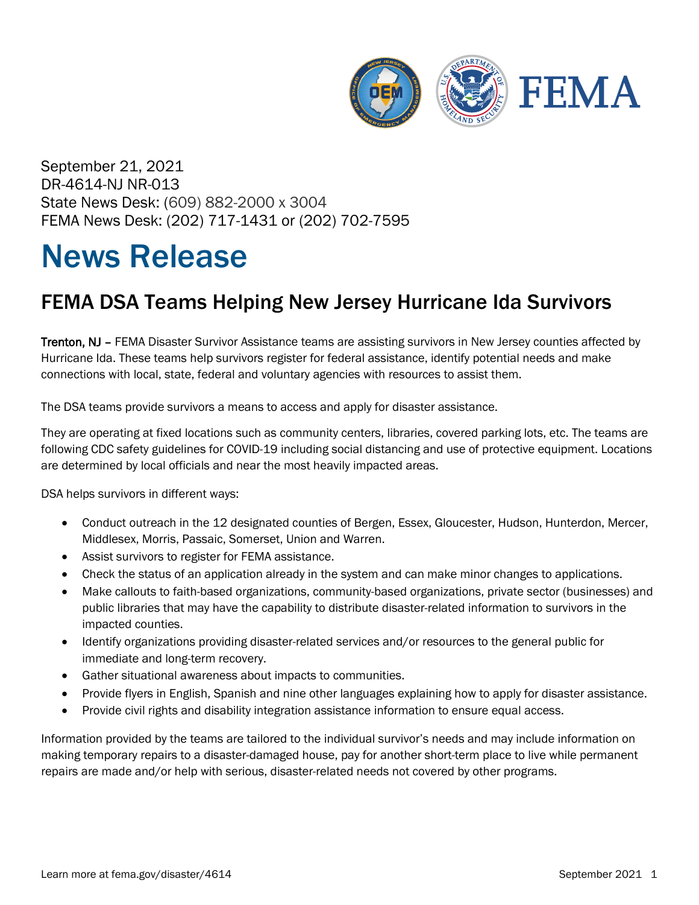

September 21, 2021 DR-4614-NJ NR-013 State News Desk: (609) 882-2000 x 3004 FEMA News Desk: (202) 717-1431 or (202) 702-7595

## News Release

## FEMA DSA Teams Helping New Jersey Hurricane Ida Survivors

Trenton, NJ – FEMA Disaster Survivor Assistance teams are assisting survivors in New Jersey counties affected by Hurricane Ida. These teams help survivors register for federal assistance, identify potential needs and make connections with local, state, federal and voluntary agencies with resources to assist them.

The DSA teams provide survivors a means to access and apply for disaster assistance.

They are operating at fixed locations such as community centers, libraries, covered parking lots, etc. The teams are following CDC safety guidelines for COVID-19 including social distancing and use of protective equipment. Locations are determined by local officials and near the most heavily impacted areas.

DSA helps survivors in different ways:

- Conduct outreach in the 12 designated counties of Bergen, Essex, Gloucester, Hudson, Hunterdon, Mercer, Middlesex, Morris, Passaic, Somerset, Union and Warren.
- Assist survivors to register for FEMA assistance.
- Check the status of an application already in the system and can make minor changes to applications.
- Make callouts to faith-based organizations, community-based organizations, private sector (businesses) and public libraries that may have the capability to distribute disaster-related information to survivors in the impacted counties.
- Identify organizations providing disaster-related services and/or resources to the general public for immediate and long-term recovery.
- Gather situational awareness about impacts to communities.
- Provide flyers in English, Spanish and nine other languages explaining how to apply for disaster assistance.
- Provide civil rights and disability integration assistance information to ensure equal access.

Information provided by the teams are tailored to the individual survivor's needs and may include information on making temporary repairs to a disaster-damaged house, pay for another short-term place to live while permanent repairs are made and/or help with serious, disaster-related needs not covered by other programs.